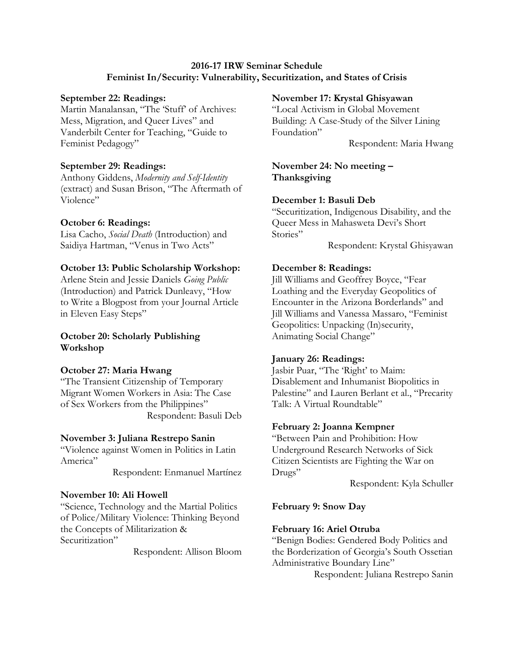## **2016-17 IRW Seminar Schedule Feminist In/Security: Vulnerability, Securitization, and States of Crisis**

### **September 22: Readings:**

Martin Manalansan, "The 'Stuff' of Archives: Mess, Migration, and Queer Lives" and Vanderbilt Center for Teaching, "Guide to Feminist Pedagogy"

### **September 29: Readings:**

Anthony Giddens, *Modernity and Self-Identity* (extract) and Susan Brison, "The Aftermath of Violence"

#### **October 6: Readings:**

Lisa Cacho, *Social Death* (Introduction) and Saidiya Hartman, "Venus in Two Acts"

#### **October 13: Public Scholarship Workshop:**

Arlene Stein and Jessie Daniels *Going Public*  (Introduction) and Patrick Dunleavy, "How to Write a Blogpost from your Journal Article in Eleven Easy Steps"

## **October 20: Scholarly Publishing Workshop**

#### **October 27: Maria Hwang**

"The Transient Citizenship of Temporary Migrant Women Workers in Asia: The Case of Sex Workers from the Philippines" Respondent: Basuli Deb

#### **November 3: Juliana Restrepo Sanin**

"Violence against Women in Politics in Latin America"

Respondent: Enmanuel Martínez

## **November 10: Ali Howell**

"Science, Technology and the Martial Politics of Police/Military Violence: Thinking Beyond the Concepts of Militarization & Securitization"

Respondent: Allison Bloom

#### **November 17: Krystal Ghisyawan**

"Local Activism in Global Movement Building: A Case-Study of the Silver Lining Foundation"

Respondent: Maria Hwang

## **November 24: No meeting – Thanksgiving**

## **December 1: Basuli Deb**

"Securitization, Indigenous Disability, and the Queer Mess in Mahasweta Devi's Short Stories"

Respondent: Krystal Ghisyawan

#### **December 8: Readings:**

Jill Williams and Geoffrey Boyce, "Fear Loathing and the Everyday Geopolitics of Encounter in the Arizona Borderlands" and Jill Williams and Vanessa Massaro, "Feminist Geopolitics: Unpacking (In)security, Animating Social Change"

#### **January 26: Readings:**

Jasbir Puar, "The 'Right' to Maim: Disablement and Inhumanist Biopolitics in Palestine" and Lauren Berlant et al., "Precarity Talk: A Virtual Roundtable"

#### **February 2: Joanna Kempner**

"Between Pain and Prohibition: How Underground Research Networks of Sick Citizen Scientists are Fighting the War on Drugs"

Respondent: Kyla Schuller

#### **February 9: Snow Day**

#### **February 16: Ariel Otruba**

"Benign Bodies: Gendered Body Politics and the Borderization of Georgia's South Ossetian Administrative Boundary Line"

Respondent: Juliana Restrepo Sanin